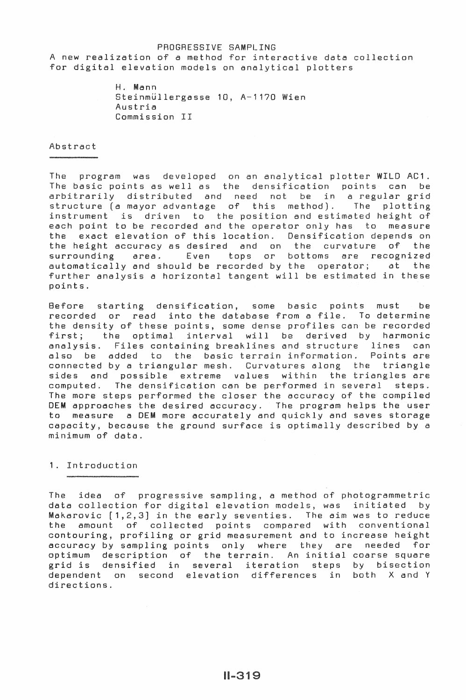# PROGRESSIVE SAMPLING A new realization of a method for interactive data collection for digital elevation models on analytical plotters

H. Mann Steinmüllergasse 10, A-1170 Wien Austria Commission II

### Abstract

The program was developed on an analytical plotter WILD AC1. The basic points as well as the densification points can be arbitrarily distributed and need not be in a regular grid structure (a mayor advantage of this method). The plotting instrument is driven to the position and estimated height of each point to be recorded and the operator only has to measure the exact elevation of this location. Densification depends on the height accuracy as desired and on the curvature of the surrounding area. Even tops or bottoms are recognized automatically and should be recorded by the operator; at the further analysis a horizontal tangent will be estimated in these points.

Before starting densification, some basic points must be recorded or read into the database from a file. To determine the density of these points, some dense profiles can be recorded first; the optimal interval will be derived by harmonic analysis. Files containing breaklines and structure lines can also be added to the basic errain information. Points are connected by a triangular mesh. Curvatures along the triangle sides and possible extreme values within the triangles are computed. The densification can be performed in several steps. The more steps performed the closer the accuracy of the compiled OEM approaches the desired accuracy. The program helps the user to measure a OEM more accurately and quickly and saves storage capacity, because the ground surface is optimally described by a minimum of data.

# 1. Introduction

The idea of progressive sampling, a method of photogrammetric data collection for digital elevation models, was initiated by Makarovic [1,2,3] in the early seventies. The aim was to reduce the amount of collected points compared with conventional contouring, profiling or grid measurement and to increase height accuracy by sampling points only where they are needed for optimum description of the terrain. An initial coarse square grid is densified in several iteration steps by bisection dependent on second elevation differences in both X and Y directions.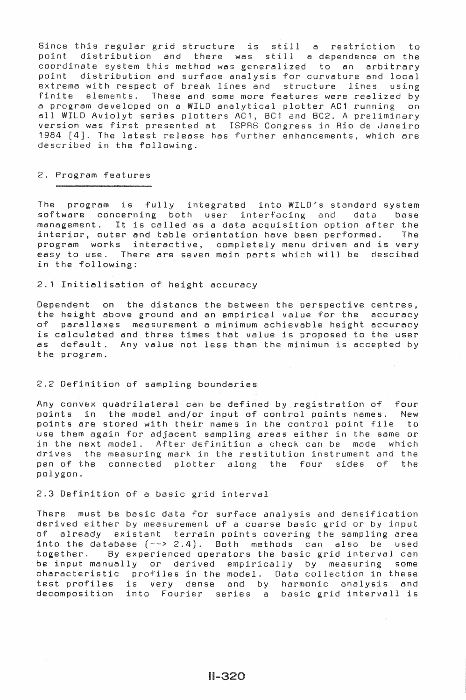Since this regular grid structure is still a restriction nde this regular gird structure is still a restriction to coordinate system this method was generalized to an arbitrary point distribution and surface analysis for curvature and local xtrema with respect of break lines and structure finite elements. These and some more features were realized by a program developed on a WILD analytical plotter AC1 running all WILD Aviolyt a ch are n ary  $i$ ro

# 2. Program features

The program is fully integrated into WILD's standard system software concerning both user interfacing and data base management. It is called as a data acquisition option after the<br>interior, outer and table orientation have been performed. The interior, outer and table orientation have been performed. program works interactive, completely menu driven and is very easy to use. There are seven main parts which will be descibed in the following:

2.1 Initialisation of height accuracy

Dependent on the distance the between the perspective centres, the height above ground and an empirical value for the accuracy of parallaxes measurement a minimum achievable height accuracy is calculated and three times that value is proposed to the user as default. Any value not less than the minimun is accepted by the program.

### 2.2 Definition of sampling boundaries

Any convex quadrilateral can be defined by registration of four points in the model and/or input of control points names. New points are stored with their names in the control point file to use them again for adjacent sampling areas either in the same or in the next model. After definition a check can be made which drives the measuring mark in the restitution instrument and the pen of the connected plotter along the four sides of the polygon.

2.3 Definition of a basic grid interv

There must be basic data for surface analysis and densification derived either by measurement of a coarse basic grid or by input of already existant terrain points covering the sampling area into the database  $(--> 2.4)$ . Both methods can also be used together. By experienced operators the basic grid interval can By experienced operators the basic grid interval can be input manually or derived empirically by measuring some characteristic profiles in the model. Data collection in these test profiles is very dense and by harmonic analysis and decomposition into Fourier series a basic grid intervall is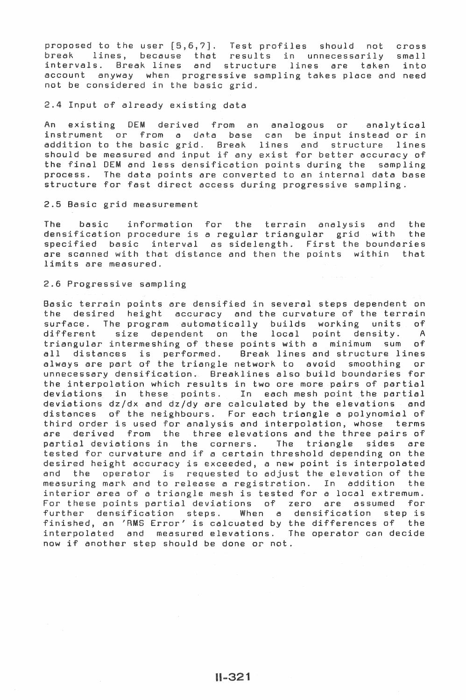e ccount anyway when progressive sampling takes place and need not be considered in the basic grid er  $[5,6,7]$ . Test cause that resul 1ines and structure iles should not cross in unnecessarily small lines are taken into

2.4 Input of already existing data

An existing OEM derived from an analogous or analytical nstrument or from a data base can be input instead or in addition to the basic grid. Break lines and structure lines station of the bacic given the inner and strategies in the second of the final DEM and less densification points during the sampling process. The data points are converted to an internal data base structure for fast direct access during progressive sampling.

### 2.5 Basic grid measurement

The basic information for the terrain analysis and the<br>densification\_procedure\_is\_a\_regular\_triangular\_\_grid\_with\_\_the densification procedure is a regular triangular grid with specified basic interval as sidelength. First the boundaries are scanned with that distance and then the points within that limits are measured.

### 2.6 Progressive sampling

Basic terrain points are densified in several steps dependent on the desired height accuracy and the curvature of the terrain surface. The program automatically builds working units of different size dependent on the local point density. A triangular intermeshing of these points with a minimum sum of all distances is performed. Break lines and structure lines always are part of the triangle network to avoid smoothing or unnecessary densification. Breaklines also build boundaries for the interpolation which results in two ore more pairs of partial deviations in these points. In each mesh point the partial deviations  $dz/dx$  and  $dz/dy$  are calculated by the elevations and distances of the neighbours. For each triangle a polynomial of third order is used for analysis and interpolation, whose terms are derived from the three elevations and the three pairs of partial deviations in the corners. The triangle sides are partial deviations in the corners. The triangle sides are<br>tested for curvature and if a certain threshold depending on the desired height accuracy is exceeded, a new point is interpolated and the operator is requested to adjust the elevation of the<br>measuring mark and to release a registration. In addition the measuring mark and to release a registration. In addition interior area of a triangle mesh is tested for a local extremum. For these points partial deviations of zero are assumed for further densification steps. When a densification step is finished, an 'RMS Error' is calcuated by the differences of the interpolated and measured elevations. The operator can decide now if another step should be done or not.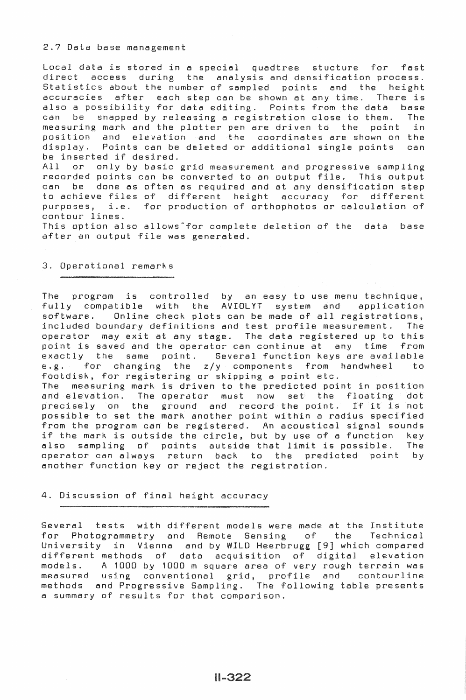2.7 Data base management

Local data is stored in a special quadtree stucture for fast direct access during the analysis and densification process. Statistics about the number of sampled points and the height accuracies after each step can be shown at any time. There is also a possibility for data editing. Points from the data base can be snapped by releasing a registration close to them. The measuring mark and the plotter pen are driven to the point position and elevation and the coordinates are shown on the display. Points can be deleted or additional single points can be inserted if desired.

All or only by basic grid measurement and progressive sampling recorded points can be converted to an output file. This output can be done as often as required and at any densification step to achieve files of different height accuracy for different purposes, i.e. for production of orthophotos or calculation of contour lines.

This option also allows for complete deletion of the data base after an output file was generated.

# 3. Operational remarks

The program is controlled by an easy to use menu technique, fully compatible with the AVIOLYT system and application software. Online check plots can be made of all registrations, included boundary definitions and test profile measurement. The operator may exit at any stage. The data registered up to this point is saved and the operator can continue at any time from exactly the same point. Several function keys are available<br>e.g. for changing the  $z/v$  components from handwheel to e.g. for changing the  $z/y$  components from handwheel footdisk, for registering or skipping a point etc. The measuring mark is driven to the predicted point in position and elevation. The operator must now set the floating dot and elevation. The operator must now set the ridating dot<br>precisely on the ground and record the point. If it is not possible to set the mark another point within a radius specified from the program can be registered. An acoustical signal sounds if the mark is outside the circle, but by use of a function key also sampling of points autside-that-limit-is-possible. The operator can always return back to the predicted point by operator can always return back to the predicted another function key or reject the registration.

### 4. Discussion of final height accuracy

Several tests with different models were made at the Institute<br>for Photogrammetry and Remote Sensing of the Technical for Photogrammetry and Remote Sensing of the University in Vienna and by WILD Heerbrugg [9] which compared different methods of data acquisition of digital elevation models. A 1000 by 1000 m square area of very rough terrain was measured using conventional grid, profile and contourline methods and Progressive Sampling. The following table presents a summary of results for that comparison.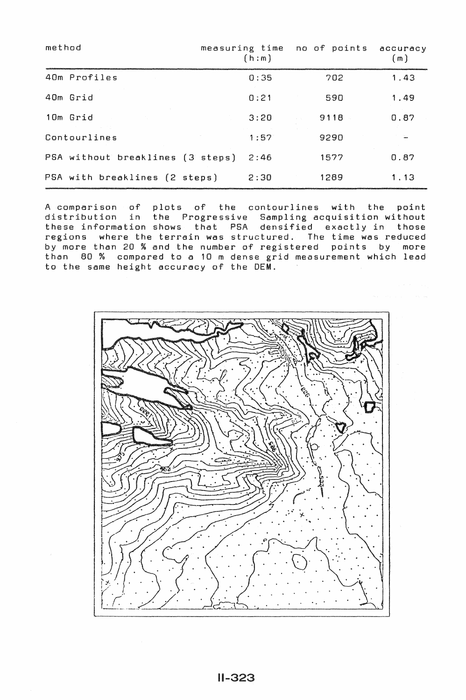| method                           | measuring time no of points<br>(h : m) |      | accuracy<br>(m) |
|----------------------------------|----------------------------------------|------|-----------------|
| 40m Profiles                     | 0:35                                   | 702  | 1.43            |
| 40m Grid                         | 0:21                                   | 590  | 1.49            |
| 10m Grid                         | 3:20                                   | 9118 | 0.87            |
| Contourlines                     | 1:57                                   | 9290 |                 |
| PSA without breaklines (3 steps) | 2:46                                   | 1577 | 0.87            |
| PSA with breaklines (2 steps)    | 2:30                                   | 1289 | 1.13            |

A comparison of plots of the contourlines with the point distribution in the Progressive Sampling acquisition without these information shows that PSA densified exactly in those regions where the terrain was structured. The time was reduced by more than 20 % and the number of registered points by more than 80 % compared to a 10 m dense grid measurement which lead to the same height accuracy of the OEM.

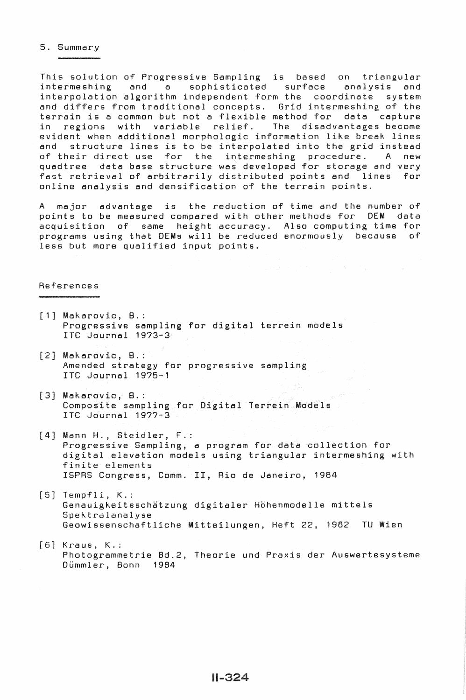#### 5. Summary

This solution of Progressive Sampling is based on triangular sophisticated surface analysis and interpolation algorithm independent form the coordinate system and differs from traditional concepts. Grid intermeshing of the terrain is a common but not a flexible method for data capture in regions with variable relief. The disadvantages become evident when additional morphologic information like break lines and structure lines is to be interpolated into the grid instead of their direct use for the intermeshing procedure. A new quadtree data base structure was developed for storage and very fast retrieval of arbitrarily distributed points and lines for online analysis and densification of the terrain points.

A major advantage is the reduction of time and the number of<br>points to be measured compared with other methods for DEM data points to be measured compared with other methods for DEM acquisition of same height accuracy. Also computing time for programs using that DEMs will be reduced enormously because of less but more qualified input points.

#### References

- [1] Makarovic, B.: Progressive sampling for digital terrein models ITC Journal 19?3-3
- [2) Makarovic, B.: Amended strategy for progressive sampling ITC Journal 19?5-1
- (3] Makarovic, 8.: Composite sampling for Digital Terrein Models ITC Journal 19??-3
- [4] Mann H., Steidler, F.: Progressive Sampling, a program for data collection for digital elevation models using triangular intermeshing with finite elements ISPAS Congress, Comm. II, Rio de Janeiro, 1984
- [5] Tempfli, K.: Genauigkeitsschatzung digitaler Hohenmodelle mittels Spektralanalyse Geowissenschaftliche Mitteilungen, Heft 22, 1982 TU Wien
- [6) Kraus, K.: Photogrammetrie 8d.2, Theorie und Praxis der Auswertesysteme Dümmler, Bonn 1984